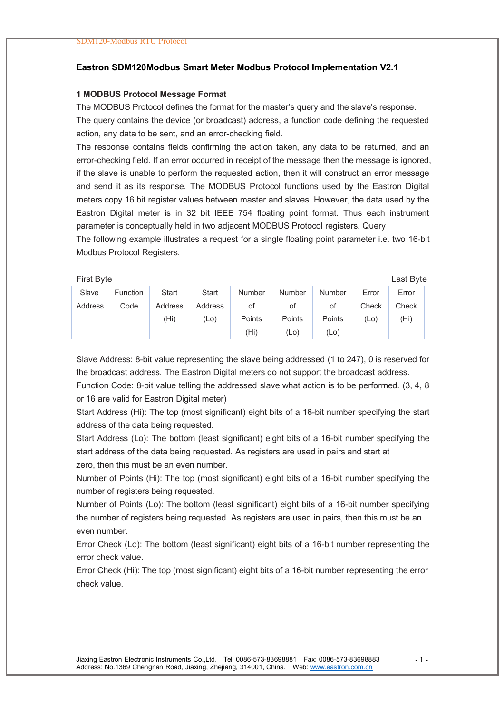#### **Eastron SDM120Modbus Smart Meter Modbus Protocol Implementation V2.1**

#### **1 MODBUS Protocol Message Format**

The MODBUS Protocol defines the format for the master's query and the slave's response. The query contains the device (or broadcast) address, a function code defining the requested action, any data to be sent, and an error-checking field.

The response contains fields confirming the action taken, any data to be returned, and an error-checking field. If an error occurred in receipt of the message then the message is ignored, if the slave is unable to perform the requested action, then it will construct an error message and send it as its response. The MODBUS Protocol functions used by the Eastron Digital meters copy 16 bit register values between master and slaves. However, the data used by the Eastron Digital meter is in 32 bit IEEE 754 floating point format. Thus each instrument parameter is conceptually held in two adjacent MODBUS Protocol registers. Query

The following example illustrates a request for a single floating point parameter i.e. two 16-bit Modbus Protocol Registers.

First Byte Last Byte

| Slave   | Function | Start   | Start   | <b>Number</b>     | <b>Number</b> | <b>Number</b> | Error | Error |
|---------|----------|---------|---------|-------------------|---------------|---------------|-------|-------|
| Address | Code     | Address | Address | οt                | ot            | οt            | Check | Check |
|         |          | (Hi)    | $(L_0)$ | Points            | Points        | Points        | (Lo)  | (Hi)  |
|         |          |         |         | (H <sub>i</sub> ) | (Lo)          | (Lo)          |       |       |

Slave Address: 8-bit value representing the slave being addressed (1 to 247), 0 is reserved for the broadcast address. The Eastron Digital meters do not support the broadcast address.

Function Code: 8-bit value telling the addressed slave what action is to be performed. (3, 4, 8 or 16 are valid for Eastron Digital meter)

Start Address (Hi): The top (most significant) eight bits of a 16-bit number specifying the start address of the data being requested.

Start Address (Lo): The bottom (least significant) eight bits of a 16-bit number specifying the start address of the data being requested. As registers are used in pairs and start at zero, then this must be an even number.

Number of Points (Hi): The top (most significant) eight bits of a 16-bit number specifying the number of registers being requested.

Number of Points (Lo): The bottom (least significant) eight bits of a 16-bit number specifying the number of registers being requested. As registers are used in pairs, then this must be an even number.

Error Check (Lo): The bottom (least significant) eight bits of a 16-bit number representing the error check value.

Error Check (Hi): The top (most significant) eight bits of a 16-bit number representing the error check value.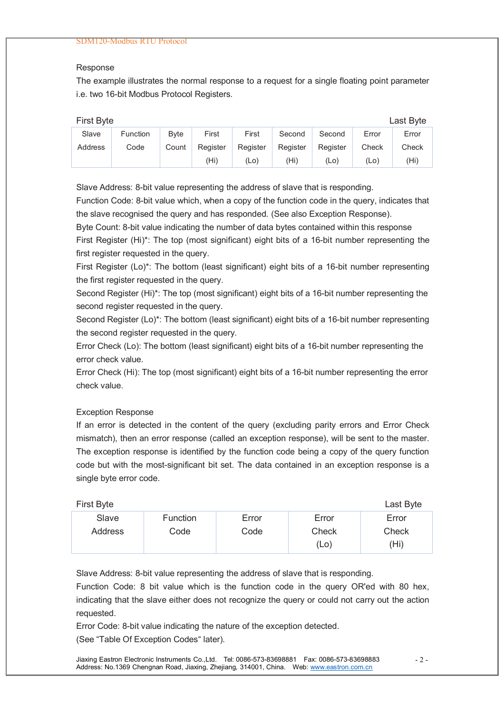### Response

The example illustrates the normal response to a request for a single floating point parameter i.e. two 16-bit Modbus Protocol Registers.

| <b>First Byte</b> |          |              |          |          |          |          |         | Last Byte         |
|-------------------|----------|--------------|----------|----------|----------|----------|---------|-------------------|
| Slave             | Function | <b>B</b> vte | First    | First    | Second   | Second   | Error   | Error             |
| <b>Address</b>    | Code     | Count        | Register | Register | Register | Register | Check   | Check             |
|                   |          |              | (Hi)     | (Lo)     | (Hi)     | (Lo)     | $(L_0)$ | (H <sub>i</sub> ) |

Slave Address: 8-bit value representing the address of slave that is responding.

Function Code: 8-bit value which, when a copy of the function code in the query, indicates that the slave recognised the query and has responded. (See also Exception Response).

Byte Count: 8-bit value indicating the number of data bytes contained within this response First Register (Hi)\*: The top (most significant) eight bits of a 16-bit number representing the first register requested in the query.

First Register (Lo)\*: The bottom (least significant) eight bits of a 16-bit number representing the first register requested in the query.

Second Register (Hi)\*: The top (most significant) eight bits of a 16-bit number representing the second register requested in the query.

Second Register (Lo)\*: The bottom (least significant) eight bits of a 16-bit number representing the second register requested in the query.

Error Check (Lo): The bottom (least significant) eight bits of a 16-bit number representing the error check value.

Error Check (Hi): The top (most significant) eight bits of a 16-bit number representing the error check value.

### Exception Response

If an error is detected in the content of the query (excluding parity errors and Error Check mismatch), then an error response (called an exception response), will be sent to the master. The exception response is identified by the function code being a copy of the query function code but with the most-significant bit set. The data contained in an exception response is a single byte error code.

| First Byte |          |       |       | Last Byte |
|------------|----------|-------|-------|-----------|
| Slave      | Function | Error | Error | Error     |
| Address    | Code     | Code  | Check | Check     |
|            |          |       | (Lo)  | (Hi)      |

Slave Address: 8-bit value representing the address of slave that is responding.

Function Code: 8 bit value which is the function code in the query OR'ed with 80 hex, indicating that the slave either does not recognize the query or could not carry out the action requested.

Error Code: 8-bit value indicating the nature of the exception detected.

(See "Table Of Exception Codes" later).

Jiaxing Eastron Electronic Instruments Co.,Ltd. Tel: 0086-573-83698881 Fax: 0086-573-83698883 Address: No.1369 Chengnan Road, Jiaxing, Zhejiang, 314001, China. Web: www.eastron.com.cn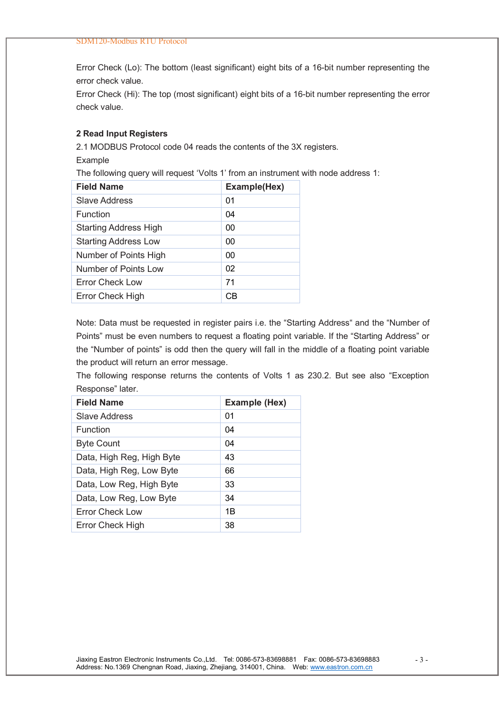Error Check (Lo): The bottom (least significant) eight bits of a 16-bit number representing the error check value.

Error Check (Hi): The top (most significant) eight bits of a 16-bit number representing the error check value.

### **2 Read Input Registers**

2.1 MODBUS Protocol code 04 reads the contents of the 3X registers.

Example

The following query will request 'Volts 1' from an instrument with node address 1:

| <b>Field Name</b>            | Example(Hex) |
|------------------------------|--------------|
| Slave Address                | 01           |
| Function                     | 04           |
| <b>Starting Address High</b> | 00           |
| <b>Starting Address Low</b>  | 00           |
| Number of Points High        | 00           |
| Number of Points Low         | 02           |
| Error Check Low              | 71           |
| Error Check High             | СR           |

Note: Data must be requested in register pairs i.e. the "Starting Address" and the "Number of Points" must be even numbers to request a floating point variable. If the "Starting Address" or the "Number of points" is odd then the query will fall in the middle of a floating point variable the product will return an error message.

The following response returns the contents of Volts 1 as 230.2. But see also "Exception Response" later.

| <b>Field Name</b>         | Example (Hex) |
|---------------------------|---------------|
| Slave Address             | 01            |
| Function                  | 04            |
| <b>Byte Count</b>         | 04            |
| Data, High Reg, High Byte | 43            |
| Data, High Reg, Low Byte  | 66            |
| Data, Low Reg, High Byte  | 33            |
| Data, Low Reg, Low Byte   | 34            |
| Error Check Low           | 1B            |
| Error Check High          | 38            |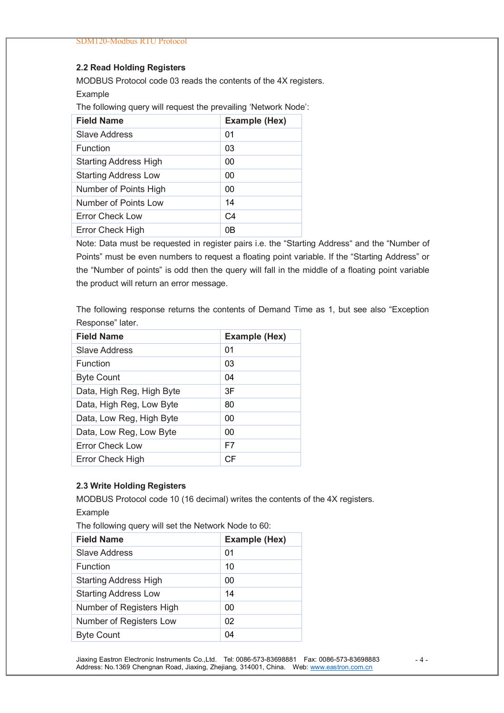## **2.2 Read Holding Registers**

MODBUS Protocol code 03 reads the contents of the 4X registers.

Example

The following query will request the prevailing 'Network Node':

| <b>Field Name</b>            | Example (Hex)  |
|------------------------------|----------------|
| <b>Slave Address</b>         | 01             |
| Function                     | 03             |
| <b>Starting Address High</b> | 00             |
| <b>Starting Address Low</b>  | 00             |
| Number of Points High        | 00             |
| Number of Points Low         | 14             |
| <b>Error Check Low</b>       | C <sub>4</sub> |
| Error Check High             | 0B             |

Note: Data must be requested in register pairs i.e. the "Starting Address" and the "Number of Points" must be even numbers to request a floating point variable. If the "Starting Address" or the "Number of points" is odd then the query will fall in the middle of a floating point variable the product will return an error message.

The following response returns the contents of Demand Time as 1, but see also "Exception Response" later.

| <b>Field Name</b>         | Example (Hex) |
|---------------------------|---------------|
| Slave Address             | 01            |
| Function                  | 03            |
| <b>Byte Count</b>         | 04            |
| Data, High Reg, High Byte | 3F            |
| Data, High Reg, Low Byte  | 80            |
| Data, Low Reg, High Byte  | 00            |
| Data, Low Reg, Low Byte   | 00            |
| Error Check Low           | F7            |
| <b>Error Check High</b>   | CF            |

## **2.3 Write Holding Registers**

MODBUS Protocol code 10 (16 decimal) writes the contents of the 4X registers. Example

The following query will set the Network Node to 60:

| <b>Field Name</b>            | Example (Hex) |
|------------------------------|---------------|
| Slave Address                | 01            |
| <b>Function</b>              | 10            |
| <b>Starting Address High</b> | 00            |
| <b>Starting Address Low</b>  | 14            |
| Number of Registers High     | 00            |
| Number of Registers Low      | 02            |
| <b>Byte Count</b>            | 04            |
|                              |               |

Jiaxing Eastron Electronic Instruments Co.,Ltd. Tel: 0086-573-83698881 Fax: 0086-573-83698883 Address: No.1369 Chengnan Road, Jiaxing, Zhejiang, 314001, China. Web: www.eastron.com.cn

- 4 -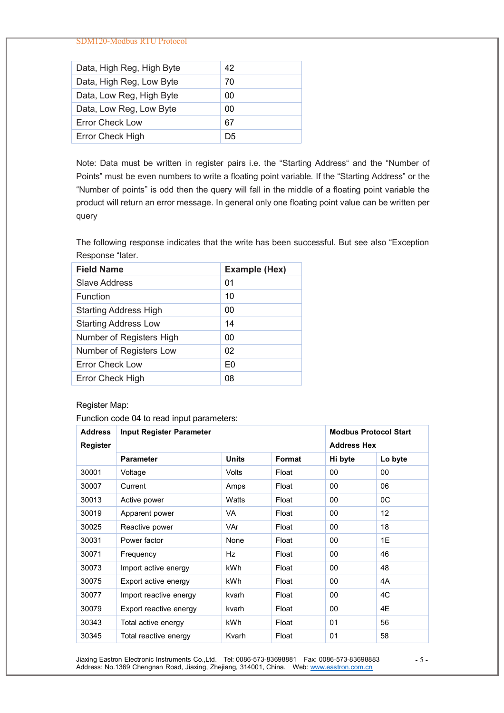SDM120-Modbus RTU Protocol

| Data, High Reg, High Byte | 42 |
|---------------------------|----|
| Data, High Reg, Low Byte  | 70 |
| Data, Low Reg, High Byte  | 00 |
| Data, Low Reg, Low Byte   | 00 |
| Error Check Low           | 67 |
| <b>Error Check High</b>   | D5 |

Note: Data must be written in register pairs i.e. the "Starting Address" and the "Number of Points" must be even numbers to write a floating point variable. If the "Starting Address" or the "Number of points" is odd then the query will fall in the middle of a floating point variable the product will return an error message. In general only one floating point value can be written per query

The following response indicates that the write has been successful. But see also "Exception Response "later.

| <b>Field Name</b>            | Example (Hex)  |
|------------------------------|----------------|
| Slave Address                | 01             |
| <b>Function</b>              | 10             |
| <b>Starting Address High</b> | 00             |
| <b>Starting Address Low</b>  | 14             |
| Number of Registers High     | 00             |
| Number of Registers Low      | 02             |
| <b>Error Check Low</b>       | F <sub>0</sub> |
| Error Check High             | 08             |

# Register Map:

Function code 04 to read input parameters:

| <b>Address</b><br>Register | Input Register Parameter | <b>Modbus Protocol Start</b><br><b>Address Hex</b> |               |         |                   |
|----------------------------|--------------------------|----------------------------------------------------|---------------|---------|-------------------|
|                            | <b>Parameter</b>         | <b>Units</b>                                       | <b>Format</b> | Hi byte | Lo byte           |
| 30001                      | Voltage                  | Volts                                              | Float         | 00      | 00                |
| 30007                      | Current                  | Amps                                               | Float         | 00      | 06                |
| 30013                      | Active power             | Watts                                              | Float         | 00      | 0C                |
| 30019                      | Apparent power           | VA                                                 | Float         | 00      | $12 \overline{ }$ |
| 30025                      | Reactive power           | VAr                                                | Float         | 00      | 18                |
| 30031                      | Power factor             | None                                               | Float         | 00      | 1E                |
| 30071                      | Frequency                | Hz                                                 | Float         | 00      | 46                |
| 30073                      | Import active energy     | <b>kWh</b>                                         | Float         | 00      | 48                |
| 30075                      | Export active energy     | kWh                                                | Float         | 00      | 4A                |
| 30077                      | Import reactive energy   | kvarh                                              | Float         | 00      | 4C                |
| 30079                      | Export reactive energy   | kvarh                                              | Float         | 00      | 4E                |
| 30343                      | Total active energy      | kWh                                                | Float         | 01      | 56                |
| 30345                      | Total reactive energy    | Kvarh                                              | Float         | 01      | 58                |

Jiaxing Eastron Electronic Instruments Co.,Ltd. Tel: 0086-573-83698881 Fax: 0086-573-83698883 Address: No.1369 Chengnan Road, Jiaxing, Zhejiang, 314001, China. Web: www.eastron.com.cn